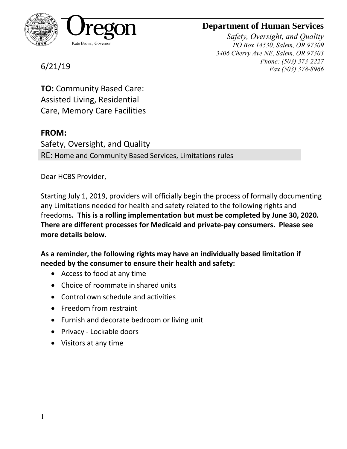

## **Department of Human Services**

*Safety, Oversight, and Quality PO Box 14530, Salem, OR 97309 3406 Cherry Ave NE, Salem, OR 97303 Phone: (503) 373-2227 Fax (503) 378-8966*

6/21/19

**TO:** Community Based Care: Assisted Living, Residential Care, Memory Care Facilities

#### **FROM:**

Safety, Oversight, and Quality RE: Home and Community Based Services, Limitations rules

Dear HCBS Provider,

Starting July 1, 2019, providers will officially begin the process of formally documenting any Limitations needed for health and safety related to the following rights and freedoms**. This is a rolling implementation but must be completed by June 30, 2020. There are different processes for Medicaid and private-pay consumers. Please see more details below.**

**As a reminder, the following rights may have an individually based limitation if needed by the consumer to ensure their health and safety:**

- Access to food at any time
- Choice of roommate in shared units
- Control own schedule and activities
- Freedom from restraint
- Furnish and decorate bedroom or living unit
- Privacy Lockable doors
- Visitors at any time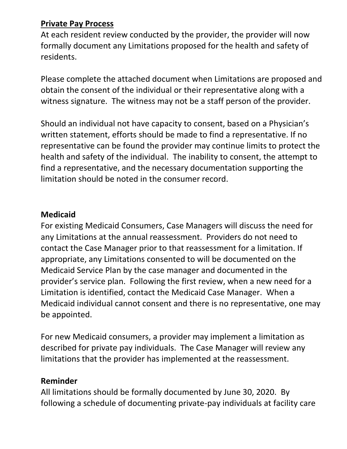## **Private Pay Process**

At each resident review conducted by the provider, the provider will now formally document any Limitations proposed for the health and safety of residents.

Please complete the attached document when Limitations are proposed and obtain the consent of the individual or their representative along with a witness signature. The witness may not be a staff person of the provider.

Should an individual not have capacity to consent, based on a Physician's written statement, efforts should be made to find a representative. If no representative can be found the provider may continue limits to protect the health and safety of the individual. The inability to consent, the attempt to find a representative, and the necessary documentation supporting the limitation should be noted in the consumer record.

## **Medicaid**

For existing Medicaid Consumers, Case Managers will discuss the need for any Limitations at the annual reassessment. Providers do not need to contact the Case Manager prior to that reassessment for a limitation. If appropriate, any Limitations consented to will be documented on the Medicaid Service Plan by the case manager and documented in the provider's service plan. Following the first review, when a new need for a Limitation is identified, contact the Medicaid Case Manager. When a Medicaid individual cannot consent and there is no representative, one may be appointed.

For new Medicaid consumers, a provider may implement a limitation as described for private pay individuals. The Case Manager will review any limitations that the provider has implemented at the reassessment.

#### **Reminder**

All limitations should be formally documented by June 30, 2020. By following a schedule of documenting private-pay individuals at facility care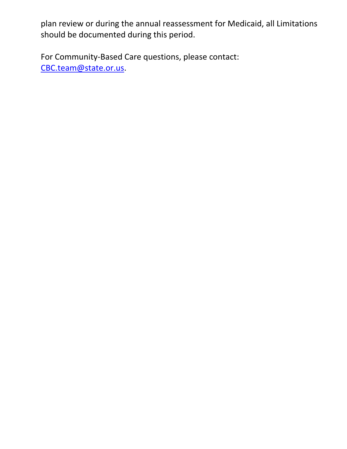plan review or during the annual reassessment for Medicaid, all Limitations should be documented during this period.

For Community-Based Care questions, please contact: [CBC.team@state.or.us.](mailto:CBC.team@state.or.us)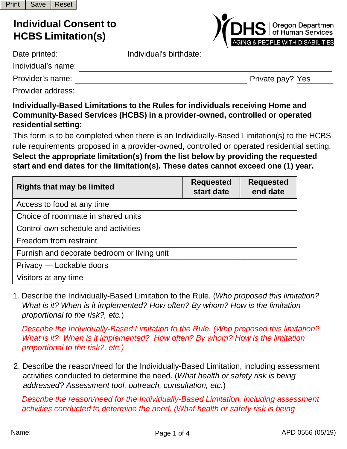# **Individual Consent to HCBS Limitation(s)**

| <b>/CDHS</b>   Oregon Departmen             |
|---------------------------------------------|
| <b>AGING &amp; PEOPLE WITH DISABILITIES</b> |

| Date printed:      | Individual's birthdate: |                  |
|--------------------|-------------------------|------------------|
| Individual's name: |                         |                  |
| Provider's name:   |                         | Private pay? Yes |
| Provider address:  |                         |                  |

#### **Individually-Based Limitations to the Rules for individuals receiving Home and Community-Based Services (HCBS) in a provider-owned, controlled or operated residential setting:**

This form is to be completed when there is an Individually-Based Limitation(s) to the HCBS rule requirements proposed in a provider-owned, controlled or operated residential setting. **Select the appropriate limitation(s) from the list below by providing the requested start and end dates for the limitation(s). These dates cannot exceed one (1) year.**

| <b>Rights that may be limited</b>           | <b>Requested</b><br>start date | <b>Requested</b><br>end date |
|---------------------------------------------|--------------------------------|------------------------------|
| Access to food at any time                  |                                |                              |
| Choice of roommate in shared units          |                                |                              |
| Control own schedule and activities         |                                |                              |
| Freedom from restraint                      |                                |                              |
| Furnish and decorate bedroom or living unit |                                |                              |
| Privacy — Lockable doors                    |                                |                              |
| Visitors at any time                        |                                |                              |

1. Describe the Individually-Based Limitation to the Rule. (*Who proposed this limitation? What is it? When is it implemented? How often? By whom? How is the limitation proportional to the risk?, etc.*)

*Describe the Individually-Based Limitation to the Rule. (Who proposed this limitation? What is it? When is it implemented? How often? By whom? How is the limitation proportional to the risk?, etc.)*

2. Describe the reason/need for the Individually-Based Limitation, including assessment activities conducted to determine the need. (*What health or safety risk is being addressed? Assessment tool, outreach, consultation, etc.*)

*Describe the reason/need for the Individually-Based Limitation, including assessment activities conducted to determine the need. (What health or safety risk is being*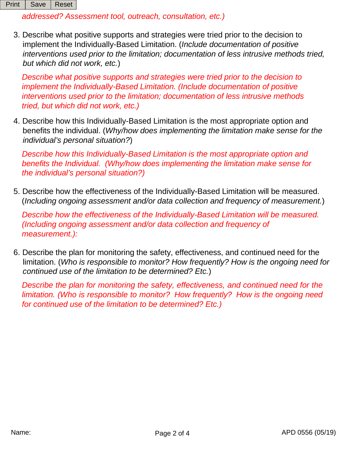*addressed? Assessment tool, outreach, consultation, etc.)*

3. Describe what positive supports and strategies were tried prior to the decision to implement the Individually-Based Limitation. (*Include documentation of positive interventions used prior to the limitation; documentation of less intrusive methods tried, but which did not work, etc.*)

*Describe what positive supports and strategies were tried prior to the decision to implement the Individually-Based Limitation. (Include documentation of positive interventions used prior to the limitation; documentation of less intrusive methods tried, but which did not work, etc.)*

4. Describe how this Individually-Based Limitation is the most appropriate option and benefits the individual. (*Why/how does implementing the limitation make sense for the individual's personal situation?*)

*Describe how this Individually-Based Limitation is the most appropriate option and benefits the Individual. (Why/how does implementing the limitation make sense for the individual's personal situation?)*

5. Describe how the effectiveness of the Individually-Based Limitation will be measured. (*Including ongoing assessment and/or data collection and frequency of measurement.*)

*Describe how the effectiveness of the Individually-Based Limitation will be measured. (Including ongoing assessment and/or data collection and frequency of measurement.):*

6. Describe the plan for monitoring the safety, effectiveness, and continued need for the limitation. (*Who is responsible to monitor? How frequently? How is the ongoing need for continued use of the limitation to be determined? Etc.*)

*Describe the plan for monitoring the safety, effectiveness, and continued need for the limitation. (Who is responsible to monitor? How frequently? How is the ongoing need for continued use of the limitation to be determined? Etc.)*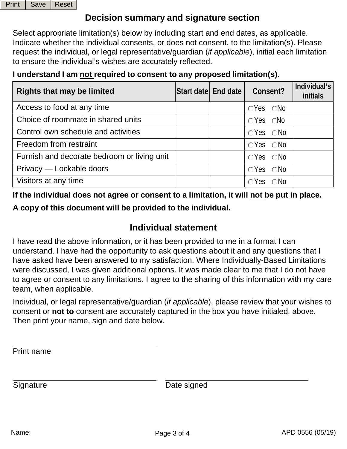|  | Print   Save   Reset |  |
|--|----------------------|--|
|--|----------------------|--|

## **Decision summary and signature section**

Select appropriate limitation(s) below by including start and end dates, as applicable. Indicate whether the individual consents, or does not consent, to the limitation(s). Please request the individual, or legal representative/guardian (*if applicable*), initial each limitation to ensure the individual's wishes are accurately reflected.

### **I understand I am not required to consent to any proposed limitation(s).**

| <b>Rights that may be limited</b>           | Start date End date | Consent?                      | Individual's<br>initials |
|---------------------------------------------|---------------------|-------------------------------|--------------------------|
| Access to food at any time                  |                     | $\bigcirc Y$ es $\bigcirc$ No |                          |
| Choice of roommate in shared units          |                     | $\bigcirc$ Yes $\bigcirc$ No  |                          |
| Control own schedule and activities         |                     | $\bigcirc$ Yes $\bigcirc$ No  |                          |
| Freedom from restraint                      |                     | $\bigcirc$ Yes $\bigcirc$ No  |                          |
| Furnish and decorate bedroom or living unit |                     | $\bigcirc$ Yes $\bigcirc$ No  |                          |
| Privacy — Lockable doors                    |                     | $\bigcirc$ Yes $\bigcirc$ No  |                          |
| Visitors at any time                        |                     | $\bigcirc$ Yes $\bigcirc$ No  |                          |

**If the individual does not agree or consent to a limitation, it will not be put in place.**

**A copy of this document will be provided to the individual.**

## **Individual statement**

I have read the above information, or it has been provided to me in a format I can understand. I have had the opportunity to ask questions about it and any questions that I have asked have been answered to my satisfaction. Where Individually-Based Limitations were discussed, I was given additional options. It was made clear to me that I do not have to agree or consent to any limitations. I agree to the sharing of this information with my care team, when applicable.

Individual, or legal representative/guardian (*if applicable*), please review that your wishes to consent or **not to** consent are accurately captured in the box you have initialed, above. Then print your name, sign and date below.

Print name

Signature Date signed